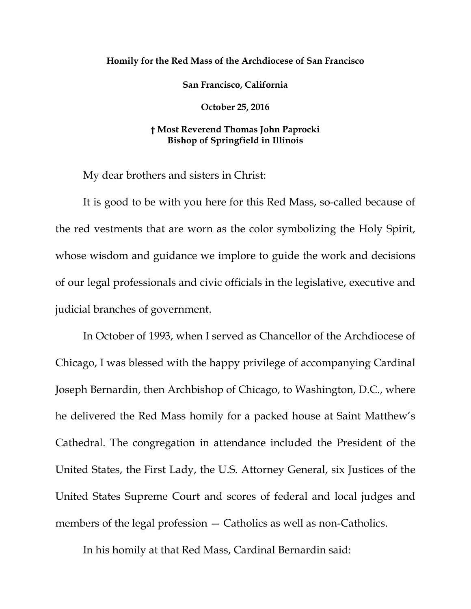## **Homily for the Red Mass of the Archdiocese of San Francisco**

**San Francisco, California**

**October 25, 2016**

## **† Most Reverend Thomas John Paprocki Bishop of Springfield in Illinois**

My dear brothers and sisters in Christ:

It is good to be with you here for this Red Mass, so-called because of the red vestments that are worn as the color symbolizing the Holy Spirit, whose wisdom and guidance we implore to guide the work and decisions of our legal professionals and civic officials in the legislative, executive and judicial branches of government.

In October of 1993, when I served as Chancellor of the Archdiocese of Chicago, I was blessed with the happy privilege of accompanying Cardinal Joseph Bernardin, then Archbishop of Chicago, to Washington, D.C., where he delivered the Red Mass homily for a packed house at Saint Matthew's Cathedral. The congregation in attendance included the President of the United States, the First Lady, the U.S. Attorney General, six Justices of the United States Supreme Court and scores of federal and local judges and members of the legal profession — Catholics as well as non-Catholics.

In his homily at that Red Mass, Cardinal Bernardin said: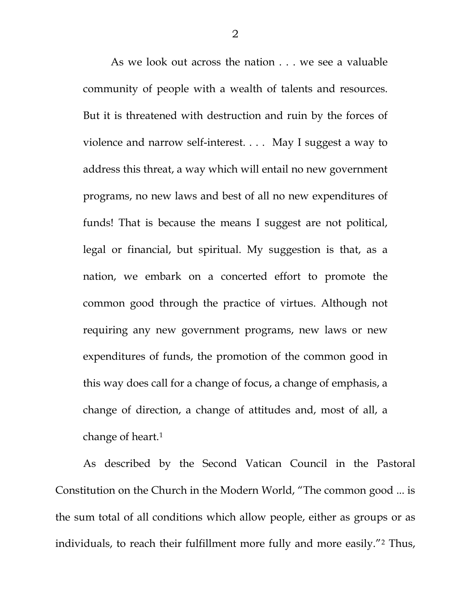As we look out across the nation . . . we see a valuable community of people with a wealth of talents and resources. But it is threatened with destruction and ruin by the forces of violence and narrow self-interest. . . . May I suggest a way to address this threat, a way which will entail no new government programs, no new laws and best of all no new expenditures of funds! That is because the means I suggest are not political, legal or financial, but spiritual. My suggestion is that, as a nation, we embark on a concerted effort to promote the common good through the practice of virtues. Although not requiring any new government programs, new laws or new expenditures of funds, the promotion of the common good in this way does call for a change of focus, a change of emphasis, a change of direction, a change of attitudes and, most of all, a change of heart.[1](#page-10-0)

As described by the Second Vatican Council in the Pastoral Constitution on the Church in the Modern World, "The common good ... is the sum total of all conditions which allow people, either as groups or as individuals, to reach their fulfillment more fully and more easily."[2](#page-10-1) Thus,

2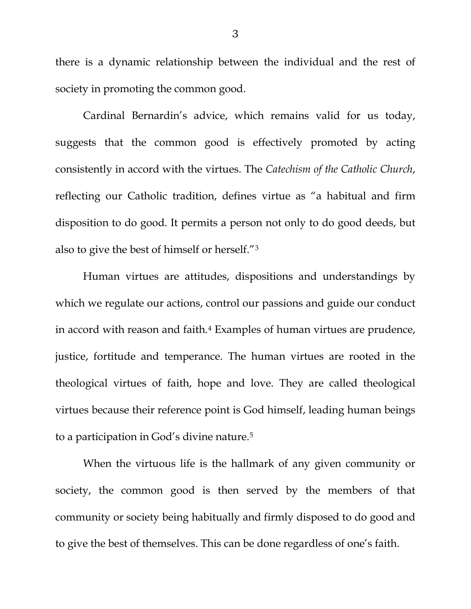there is a dynamic relationship between the individual and the rest of society in promoting the common good.

Cardinal Bernardin's advice, which remains valid for us today, suggests that the common good is effectively promoted by acting consistently in accord with the virtues. The *Catechism of the Catholic Church*, reflecting our Catholic tradition, defines virtue as "a habitual and firm disposition to do good. It permits a person not only to do good deeds, but also to give the best of himself or herself."[3](#page-10-2)

Human virtues are attitudes, dispositions and understandings by which we regulate our actions, control our passions and guide our conduct in accord with reason and faith.[4](#page-10-3) Examples of human virtues are prudence, justice, fortitude and temperance. The human virtues are rooted in the theological virtues of faith, hope and love. They are called theological virtues because their reference point is God himself, leading human beings to a participation in God's divine nature.[5](#page-10-4)

When the virtuous life is the hallmark of any given community or society, the common good is then served by the members of that community or society being habitually and firmly disposed to do good and to give the best of themselves. This can be done regardless of one's faith.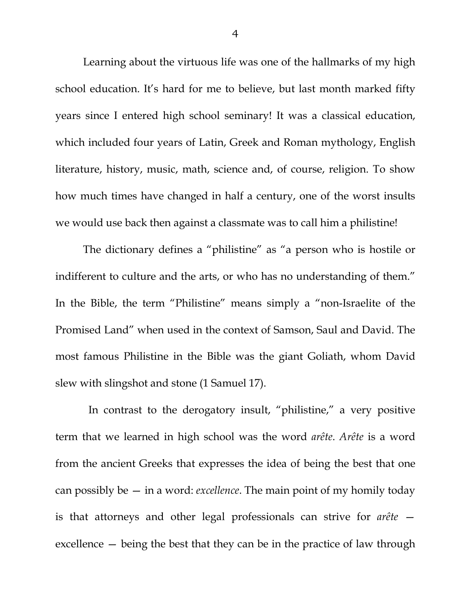Learning about the virtuous life was one of the hallmarks of my high school education. It's hard for me to believe, but last month marked fifty years since I entered high school seminary! It was a classical education, which included four years of Latin, Greek and Roman mythology, English literature, history, music, math, science and, of course, religion. To show how much times have changed in half a century, one of the worst insults we would use back then against a classmate was to call him a philistine!

The dictionary defines a "philistine" as "a person who is hostile or indifferent to culture and the arts, or who has no understanding of them." In the Bible, the term "Philistine" means simply a "non-Israelite of the Promised Land" when used in the context of Samson, Saul and David. The most famous Philistine in the Bible was the giant Goliath, whom David slew with slingshot and stone (1 Samuel 17).

In contrast to the derogatory insult, "philistine," a very positive term that we learned in high school was the word *arête*. *Arête* is a word from the ancient Greeks that expresses the idea of being the best that one can possibly be — in a word: *excellence*. The main point of my homily today is that attorneys and other legal professionals can strive for *arête* excellence — being the best that they can be in the practice of law through

4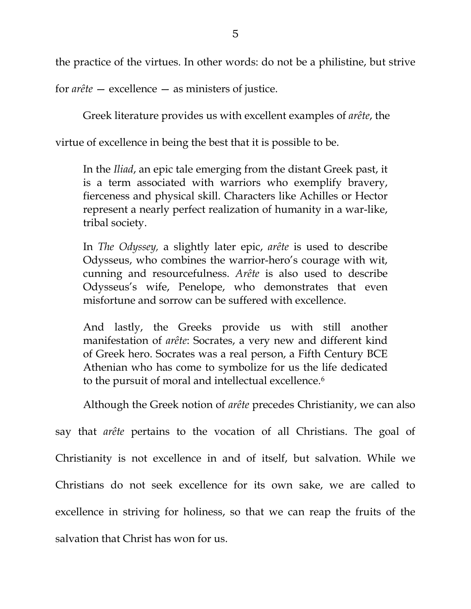the practice of the virtues. In other words: do not be a philistine, but strive

for *arête* — excellence — as ministers of justice.

Greek literature provides us with excellent examples of *arête*, the

virtue of excellence in being the best that it is possible to be.

In the *Iliad*, an epic tale emerging from the distant Greek past, it is a term associated with warriors who exemplify bravery, fierceness and physical skill. Characters like Achilles or Hector represent a nearly perfect realization of humanity in a war-like, tribal society.

In *The Odyssey,* a slightly later epic, *arête* is used to describe Odysseus, who combines the warrior-hero's courage with wit, cunning and resourcefulness. *Arête* is also used to describe Odysseus's wife, Penelope, who demonstrates that even misfortune and sorrow can be suffered with excellence.

And lastly, the Greeks provide us with still another manifestation of *arête*: Socrates, a very new and different kind of Greek hero. Socrates was a real person, a Fifth Century BCE Athenian who has come to symbolize for us the life dedicated to the pursuit of moral and intellectual excellence.<sup>[6](#page-10-5)</sup>

Although the Greek notion of *arête* precedes Christianity, we can also

say that *arête* pertains to the vocation of all Christians. The goal of Christianity is not excellence in and of itself, but salvation. While we Christians do not seek excellence for its own sake, we are called to excellence in striving for holiness, so that we can reap the fruits of the salvation that Christ has won for us.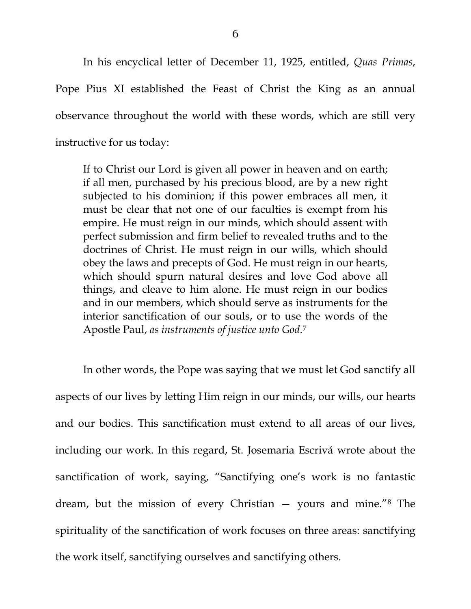In his encyclical letter of December 11, 1925, entitled, *Quas Primas*, Pope Pius XI established the Feast of Christ the King as an annual observance throughout the world with these words, which are still very instructive for us today:

If to Christ our Lord is given all power in heaven and on earth; if all men, purchased by his precious blood, are by a new right subjected to his dominion; if this power embraces all men, it must be clear that not one of our faculties is exempt from his empire. He must reign in our minds, which should assent with perfect submission and firm belief to revealed truths and to the doctrines of Christ. He must reign in our wills, which should obey the laws and precepts of God. He must reign in our hearts, which should spurn natural desires and love God above all things, and cleave to him alone. He must reign in our bodies and in our members, which should serve as instruments for the interior sanctification of our souls, or to use the words of the Apostle Paul, *as instruments of justice unto God*.[7](#page-10-6)

In other words, the Pope was saying that we must let God sanctify all aspects of our lives by letting Him reign in our minds, our wills, our hearts and our bodies. This sanctification must extend to all areas of our lives, including our work. In this regard, St. Josemaria Escrivá wrote about the sanctification of work, saying, "Sanctifying one's work is no fantastic dream, but the mission of every Christian — yours and mine."[8](#page-10-7) The spirituality of the sanctification of work focuses on three areas: sanctifying the work itself, sanctifying ourselves and sanctifying others.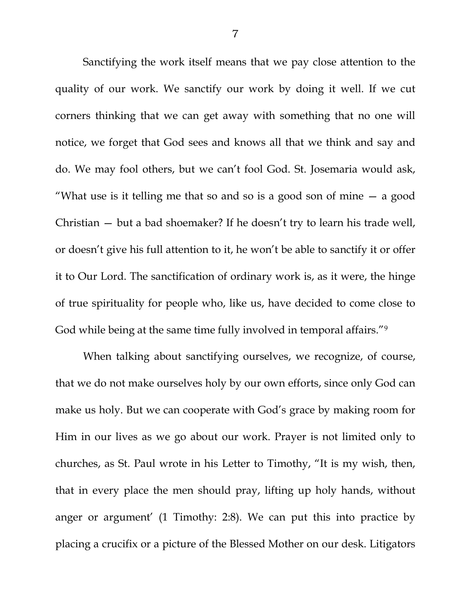Sanctifying the work itself means that we pay close attention to the quality of our work. We sanctify our work by doing it well. If we cut corners thinking that we can get away with something that no one will notice, we forget that God sees and knows all that we think and say and do. We may fool others, but we can't fool God. St. Josemaria would ask, "What use is it telling me that so and so is a good son of mine  $-$  a good Christian — but a bad shoemaker? If he doesn't try to learn his trade well, or doesn't give his full attention to it, he won't be able to sanctify it or offer it to Our Lord. The sanctification of ordinary work is, as it were, the hinge of true spirituality for people who, like us, have decided to come close to God while being at the same time fully involved in temporal affairs."<sup>[9](#page-10-8)</sup>

When talking about sanctifying ourselves, we recognize, of course, that we do not make ourselves holy by our own efforts, since only God can make us holy. But we can cooperate with God's grace by making room for Him in our lives as we go about our work. Prayer is not limited only to churches, as St. Paul wrote in his Letter to Timothy, "It is my wish, then, that in every place the men should pray, lifting up holy hands, without anger or argument' (1 Timothy: 2:8). We can put this into practice by placing a crucifix or a picture of the Blessed Mother on our desk. Litigators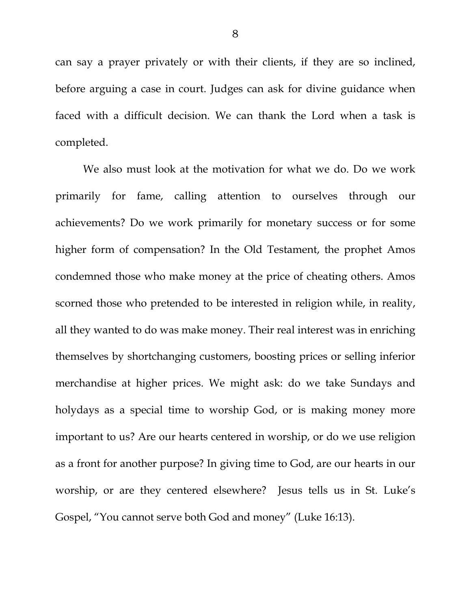can say a prayer privately or with their clients, if they are so inclined, before arguing a case in court. Judges can ask for divine guidance when faced with a difficult decision. We can thank the Lord when a task is completed.

We also must look at the motivation for what we do. Do we work primarily for fame, calling attention to ourselves through our achievements? Do we work primarily for monetary success or for some higher form of compensation? In the Old Testament, the prophet Amos condemned those who make money at the price of cheating others. Amos scorned those who pretended to be interested in religion while, in reality, all they wanted to do was make money. Their real interest was in enriching themselves by shortchanging customers, boosting prices or selling inferior merchandise at higher prices. We might ask: do we take Sundays and holydays as a special time to worship God, or is making money more important to us? Are our hearts centered in worship, or do we use religion as a front for another purpose? In giving time to God, are our hearts in our worship, or are they centered elsewhere? Jesus tells us in St. Luke's Gospel, "You cannot serve both God and money" (Luke 16:13).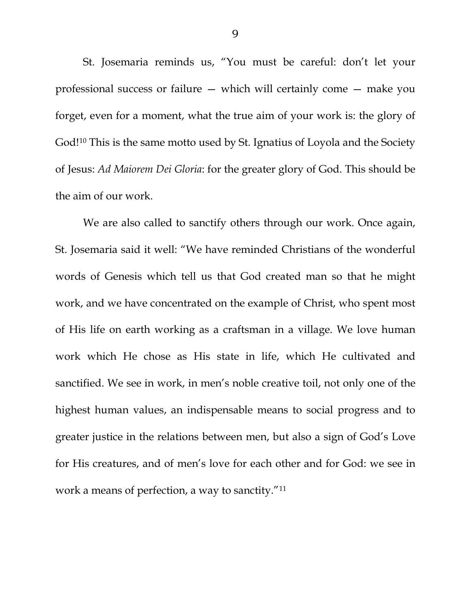St. Josemaria reminds us, "You must be careful: don't let your professional success or failure — which will certainly come — make you forget, even for a moment, what the true aim of your work is: the glory of God![10](#page-10-9) This is the same motto used by St. Ignatius of Loyola and the Society of Jesus: *Ad Maiorem Dei Gloria*: for the greater glory of God. This should be the aim of our work.

We are also called to sanctify others through our work. Once again, St. Josemaria said it well: "We have reminded Christians of the wonderful words of Genesis which tell us that God created man so that he might work, and we have concentrated on the example of Christ, who spent most of His life on earth working as a craftsman in a village. We love human work which He chose as His state in life, which He cultivated and sanctified. We see in work, in men's noble creative toil, not only one of the highest human values, an indispensable means to social progress and to greater justice in the relations between men, but also a sign of God's Love for His creatures, and of men's love for each other and for God: we see in work a means of perfection, a way to sanctity."[11](#page-10-10)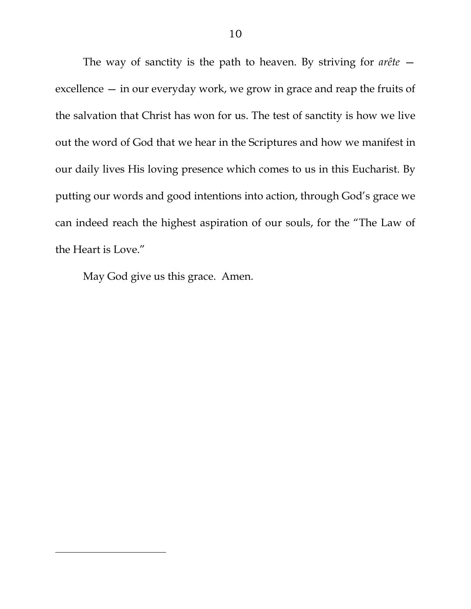The way of sanctity is the path to heaven. By striving for *arête*  excellence — in our everyday work, we grow in grace and reap the fruits of the salvation that Christ has won for us. The test of sanctity is how we live out the word of God that we hear in the Scriptures and how we manifest in our daily lives His loving presence which comes to us in this Eucharist. By putting our words and good intentions into action, through God's grace we can indeed reach the highest aspiration of our souls, for the "The Law of the Heart is Love."

May God give us this grace. Amen.

 $\overline{\phantom{a}}$